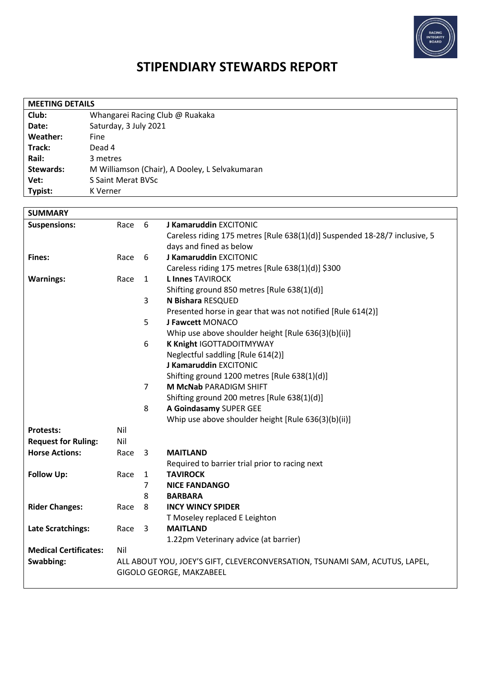

# **STIPENDIARY STEWARDS REPORT**

| <b>MEETING DETAILS</b> |                                                |  |  |  |
|------------------------|------------------------------------------------|--|--|--|
| Club:                  | Whangarei Racing Club @ Ruakaka                |  |  |  |
| Date:                  | Saturday, 3 July 2021                          |  |  |  |
| Weather:               | Fine                                           |  |  |  |
| Track:                 | Dead 4                                         |  |  |  |
| Rail:                  | 3 metres                                       |  |  |  |
| <b>Stewards:</b>       | M Williamson (Chair), A Dooley, L Selvakumaran |  |  |  |
| Vet:                   | S Saint Merat BVSc                             |  |  |  |
| Typist:                | K Verner                                       |  |  |  |

| <b>SUMMARY</b>               |      |                         |                                                                             |  |  |
|------------------------------|------|-------------------------|-----------------------------------------------------------------------------|--|--|
| <b>Suspensions:</b>          | Race | 6                       | J Kamaruddin EXCITONIC                                                      |  |  |
|                              |      |                         | Careless riding 175 metres [Rule 638(1)(d)] Suspended 18-28/7 inclusive, 5  |  |  |
|                              |      |                         | days and fined as below                                                     |  |  |
| <b>Fines:</b>                | Race | 6                       | J Kamaruddin EXCITONIC                                                      |  |  |
|                              |      |                         | Careless riding 175 metres [Rule 638(1)(d)] \$300                           |  |  |
| <b>Warnings:</b>             | Race | $\mathbf{1}$            | <b>L Innes TAVIROCK</b>                                                     |  |  |
|                              |      |                         | Shifting ground 850 metres [Rule 638(1)(d)]                                 |  |  |
|                              |      | 3                       | N Bishara RESQUED                                                           |  |  |
|                              |      |                         | Presented horse in gear that was not notified [Rule 614(2)]                 |  |  |
|                              |      | 5                       | J Fawcett MONACO                                                            |  |  |
|                              |      |                         | Whip use above shoulder height [Rule 636(3)(b)(ii)]                         |  |  |
|                              |      | 6                       | K Knight IGOTTADOITMYWAY                                                    |  |  |
|                              |      |                         | Neglectful saddling [Rule 614(2)]                                           |  |  |
|                              |      |                         | J Kamaruddin EXCITONIC                                                      |  |  |
|                              |      |                         | Shifting ground 1200 metres [Rule 638(1)(d)]                                |  |  |
|                              |      | $\overline{7}$          | M McNab PARADIGM SHIFT                                                      |  |  |
|                              |      |                         | Shifting ground 200 metres [Rule 638(1)(d)]                                 |  |  |
|                              |      | 8                       | A Goindasamy SUPER GEE                                                      |  |  |
|                              |      |                         | Whip use above shoulder height [Rule 636(3)(b)(ii)]                         |  |  |
| <b>Protests:</b>             | Nil  |                         |                                                                             |  |  |
| <b>Request for Ruling:</b>   | Nil  |                         |                                                                             |  |  |
| <b>Horse Actions:</b>        | Race | 3                       | <b>MAITLAND</b>                                                             |  |  |
|                              |      |                         | Required to barrier trial prior to racing next                              |  |  |
| <b>Follow Up:</b>            | Race | $\mathbf{1}$            | <b>TAVIROCK</b>                                                             |  |  |
|                              |      | $\overline{7}$          | <b>NICE FANDANGO</b>                                                        |  |  |
|                              |      | 8                       | <b>BARBARA</b>                                                              |  |  |
| <b>Rider Changes:</b>        | Race | 8                       | <b>INCY WINCY SPIDER</b>                                                    |  |  |
|                              |      |                         | T Moseley replaced E Leighton                                               |  |  |
| Late Scratchings:            | Race | $\overline{\mathbf{3}}$ | <b>MAITLAND</b>                                                             |  |  |
|                              |      |                         | 1.22pm Veterinary advice (at barrier)                                       |  |  |
| <b>Medical Certificates:</b> | Nil  |                         |                                                                             |  |  |
| Swabbing:                    |      |                         | ALL ABOUT YOU, JOEY'S GIFT, CLEVERCONVERSATION, TSUNAMI SAM, ACUTUS, LAPEL, |  |  |
|                              |      |                         | GIGOLO GEORGE, MAKZABEEL                                                    |  |  |
|                              |      |                         |                                                                             |  |  |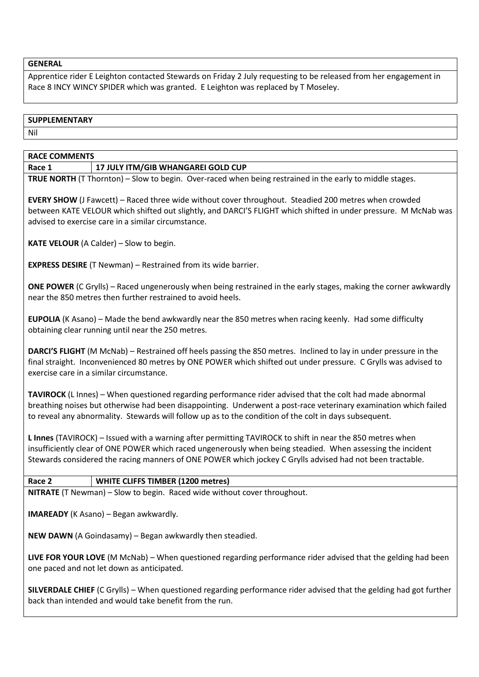#### **GENERAL**

Apprentice rider E Leighton contacted Stewards on Friday 2 July requesting to be released from her engagement in Race 8 INCY WINCY SPIDER which was granted. E Leighton was replaced by T Moseley.

## **SUPPLEMENTARY**

Nil

## **RACE COMMENTS**

**Race 1 17 JULY ITM/GIB WHANGAREI GOLD CUP**

**TRUE NORTH** (T Thornton) – Slow to begin. Over-raced when being restrained in the early to middle stages.

**EVERY SHOW** (J Fawcett) – Raced three wide without cover throughout. Steadied 200 metres when crowded between KATE VELOUR which shifted out slightly, and DARCI'S FLIGHT which shifted in under pressure. M McNab was advised to exercise care in a similar circumstance.

**KATE VELOUR** (A Calder) – Slow to begin.

**EXPRESS DESIRE** (T Newman) – Restrained from its wide barrier.

**ONE POWER** (C Grylls) – Raced ungenerously when being restrained in the early stages, making the corner awkwardly near the 850 metres then further restrained to avoid heels.

**EUPOLIA** (K Asano) – Made the bend awkwardly near the 850 metres when racing keenly. Had some difficulty obtaining clear running until near the 250 metres.

**DARCI'S FLIGHT** (M McNab) – Restrained off heels passing the 850 metres. Inclined to lay in under pressure in the final straight. Inconvenienced 80 metres by ONE POWER which shifted out under pressure. C Grylls was advised to exercise care in a similar circumstance.

**TAVIROCK** (L Innes) – When questioned regarding performance rider advised that the colt had made abnormal breathing noises but otherwise had been disappointing. Underwent a post-race veterinary examination which failed to reveal any abnormality. Stewards will follow up as to the condition of the colt in days subsequent.

**L Innes** (TAVIROCK) – Issued with a warning after permitting TAVIROCK to shift in near the 850 metres when insufficiently clear of ONE POWER which raced ungenerously when being steadied. When assessing the incident Stewards considered the racing manners of ONE POWER which jockey C Grylls advised had not been tractable.

## **Race 2 WHITE CLIFFS TIMBER (1200 metres)**

**NITRATE** (T Newman) – Slow to begin. Raced wide without cover throughout.

**IMAREADY** (K Asano) – Began awkwardly.

**NEW DAWN** (A Goindasamy) – Began awkwardly then steadied.

**LIVE FOR YOUR LOVE** (M McNab) – When questioned regarding performance rider advised that the gelding had been one paced and not let down as anticipated.

**SILVERDALE CHIEF** (C Grylls) – When questioned regarding performance rider advised that the gelding had got further back than intended and would take benefit from the run.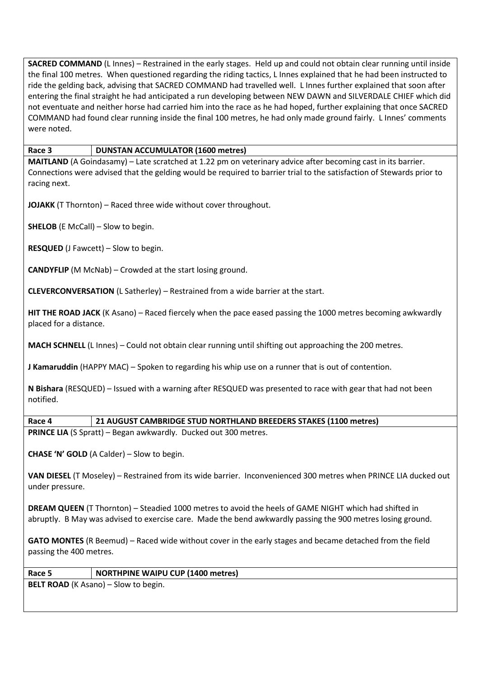**SACRED COMMAND** (L Innes) – Restrained in the early stages. Held up and could not obtain clear running until inside the final 100 metres. When questioned regarding the riding tactics, L Innes explained that he had been instructed to ride the gelding back, advising that SACRED COMMAND had travelled well. L Innes further explained that soon after entering the final straight he had anticipated a run developing between NEW DAWN and SILVERDALE CHIEF which did not eventuate and neither horse had carried him into the race as he had hoped, further explaining that once SACRED COMMAND had found clear running inside the final 100 metres, he had only made ground fairly. L Innes' comments were noted.

**Race 3 DUNSTAN ACCUMULATOR (1600 metres)**

**MAITLAND** (A Goindasamy) – Late scratched at 1.22 pm on veterinary advice after becoming cast in its barrier. Connections were advised that the gelding would be required to barrier trial to the satisfaction of Stewards prior to racing next.

**JOJAKK** (T Thornton) – Raced three wide without cover throughout.

**SHELOB** (E McCall) – Slow to begin.

**RESQUED** (J Fawcett) – Slow to begin.

**CANDYFLIP** (M McNab) – Crowded at the start losing ground.

**CLEVERCONVERSATION** (L Satherley) – Restrained from a wide barrier at the start.

**HIT THE ROAD JACK** (K Asano) – Raced fiercely when the pace eased passing the 1000 metres becoming awkwardly placed for a distance.

**MACH SCHNELL** (L Innes) – Could not obtain clear running until shifting out approaching the 200 metres.

**J Kamaruddin** (HAPPY MAC) – Spoken to regarding his whip use on a runner that is out of contention.

**N Bishara** (RESQUED) – Issued with a warning after RESQUED was presented to race with gear that had not been notified.

**Race 4 21 AUGUST CAMBRIDGE STUD NORTHLAND BREEDERS STAKES (1100 metres)**

**PRINCE LIA** (S Spratt) – Began awkwardly. Ducked out 300 metres.

**CHASE 'N' GOLD** (A Calder) – Slow to begin.

**VAN DIESEL** (T Moseley) – Restrained from its wide barrier. Inconvenienced 300 metres when PRINCE LIA ducked out under pressure.

**DREAM QUEEN** (T Thornton) – Steadied 1000 metres to avoid the heels of GAME NIGHT which had shifted in abruptly. B May was advised to exercise care. Made the bend awkwardly passing the 900 metres losing ground.

**GATO MONTES** (R Beemud) – Raced wide without cover in the early stages and became detached from the field passing the 400 metres.

## **Race 5 NORTHPINE WAIPU CUP (1400 metres)**

**BELT ROAD** (K Asano) – Slow to begin.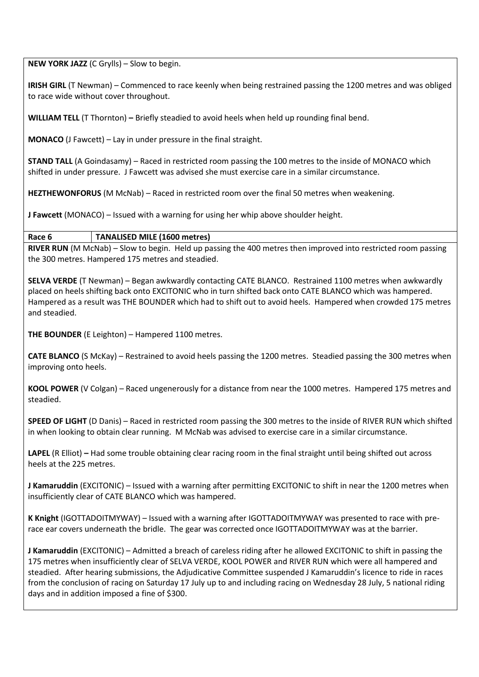**NEW YORK JAZZ** (C Grylls) – Slow to begin.

**IRISH GIRL** (T Newman) – Commenced to race keenly when being restrained passing the 1200 metres and was obliged to race wide without cover throughout.

**WILLIAM TELL** (T Thornton) **–** Briefly steadied to avoid heels when held up rounding final bend.

**MONACO** (J Fawcett) – Lay in under pressure in the final straight.

**STAND TALL** (A Goindasamy) – Raced in restricted room passing the 100 metres to the inside of MONACO which shifted in under pressure. J Fawcett was advised she must exercise care in a similar circumstance.

**HEZTHEWONFORUS** (M McNab) – Raced in restricted room over the final 50 metres when weakening.

**J Fawcett** (MONACO) – Issued with a warning for using her whip above shoulder height.

#### **Race 6 TANALISED MILE (1600 metres)**

**RIVER RUN** (M McNab) – Slow to begin. Held up passing the 400 metres then improved into restricted room passing the 300 metres. Hampered 175 metres and steadied.

**SELVA VERDE** (T Newman) – Began awkwardly contacting CATE BLANCO. Restrained 1100 metres when awkwardly placed on heels shifting back onto EXCITONIC who in turn shifted back onto CATE BLANCO which was hampered. Hampered as a result was THE BOUNDER which had to shift out to avoid heels. Hampered when crowded 175 metres and steadied.

**THE BOUNDER** (E Leighton) – Hampered 1100 metres.

**CATE BLANCO** (S McKay) – Restrained to avoid heels passing the 1200 metres. Steadied passing the 300 metres when improving onto heels.

**KOOL POWER** (V Colgan) – Raced ungenerously for a distance from near the 1000 metres. Hampered 175 metres and steadied.

**SPEED OF LIGHT** (D Danis) – Raced in restricted room passing the 300 metres to the inside of RIVER RUN which shifted in when looking to obtain clear running. M McNab was advised to exercise care in a similar circumstance.

**LAPEL** (R Elliot) **–** Had some trouble obtaining clear racing room in the final straight until being shifted out across heels at the 225 metres.

**J Kamaruddin** (EXCITONIC) – Issued with a warning after permitting EXCITONIC to shift in near the 1200 metres when insufficiently clear of CATE BLANCO which was hampered.

**K Knight** (IGOTTADOITMYWAY) – Issued with a warning after IGOTTADOITMYWAY was presented to race with prerace ear covers underneath the bridle. The gear was corrected once IGOTTADOITMYWAY was at the barrier.

**J Kamaruddin** (EXCITONIC) – Admitted a breach of careless riding after he allowed EXCITONIC to shift in passing the 175 metres when insufficiently clear of SELVA VERDE, KOOL POWER and RIVER RUN which were all hampered and steadied. After hearing submissions, the Adjudicative Committee suspended J Kamaruddin's licence to ride in races from the conclusion of racing on Saturday 17 July up to and including racing on Wednesday 28 July, 5 national riding days and in addition imposed a fine of \$300.